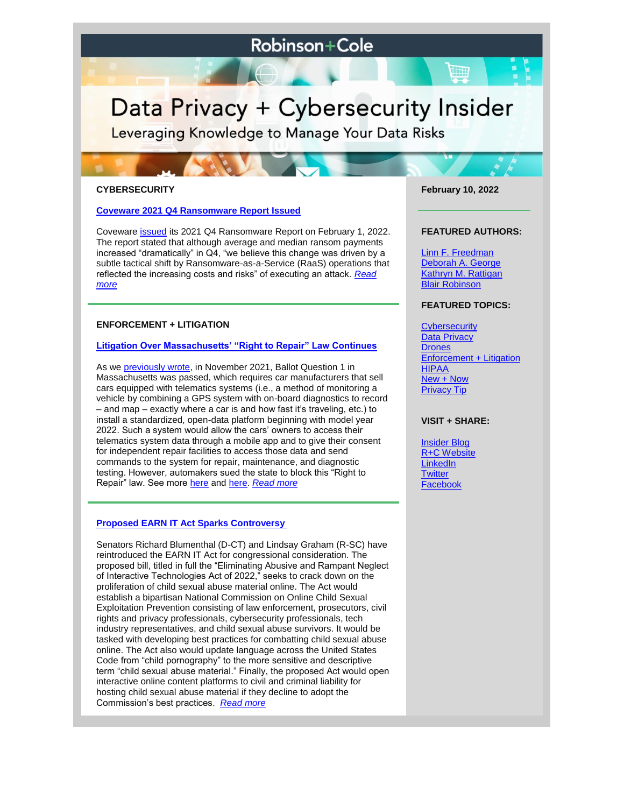# **Robinson+Cole**

# Data Privacy + Cybersecurity Insider

Leveraging Knowledge to Manage Your Data Risks

#### **CYBERSECURITY**

#### **[Coveware 2021 Q4 Ransomware Report Issued](https://www.dataprivacyandsecurityinsider.com/2022/02/coveware-2021-q4-ransomware-report-issued/)**

Coveware [issued](https://www.coveware.com/blog/ransomware-marketplace-report-q4-2020) its 2021 Q4 Ransomware Report on February 1, 2022. The report stated that although average and median ransom payments increased "dramatically" in Q4, "we believe this change was driven by a subtle tactical shift by Ransomware-as-a-Service (RaaS) operations that reflected the increasing costs and risks" of executing an attack. *[Read](https://www.dataprivacyandsecurityinsider.com/2022/02/coveware-2021-q4-ransomware-report-issued/)  [more](https://www.dataprivacyandsecurityinsider.com/2022/02/coveware-2021-q4-ransomware-report-issued/)*

## **ENFORCEMENT + LITIGATION**

#### **[Litigation Over Massachusetts' "Right to Repair" Law Continues](https://www.dataprivacyandsecurityinsider.com/2022/02/litigation-over-massachusetts-right-to-repair-law-continues/)**

As we **previously wrote**, in November 2021, Ballot Question 1 in Massachusetts was passed, which requires car manufacturers that sell cars equipped with telematics systems (i.e., a method of monitoring a vehicle by combining a GPS system with on-board diagnostics to record – and map – exactly where a car is and how fast it's traveling, etc.) to install a standardized, open-data platform beginning with model year 2022. Such a system would allow the cars' owners to access their telematics system data through a mobile app and to give their consent for independent repair facilities to access those data and send commands to the system for repair, maintenance, and diagnostic testing. However, automakers sued the state to block this "Right to Repair" law. See more [here](https://www.dataprivacyandsecurityinsider.com/2020/11/massachusetts-ballot-question-1-still-on-the-forefront-as-automakers-sue-to-block-its-implementation/) and [here.](https://www.dataprivacyandsecurityinsider.com/2020/12/update-on-the-massachusetts-right-to-repair-lawsuit/) *[Read more](https://www.dataprivacyandsecurityinsider.com/2022/02/litigation-over-massachusetts-right-to-repair-law-continues/)*

## **[Proposed EARN IT Act Sparks Controversy](https://www.dataprivacyandsecurityinsider.com/2022/02/proposed-earn-it-act-sparks-controversy/)**

Senators Richard Blumenthal (D-CT) and Lindsay Graham (R-SC) have reintroduced the EARN IT Act for congressional consideration. The proposed bill, titled in full the "Eliminating Abusive and Rampant Neglect of Interactive Technologies Act of 2022," seeks to crack down on the proliferation of child sexual abuse material online. The Act would establish a bipartisan National Commission on Online Child Sexual Exploitation Prevention consisting of law enforcement, prosecutors, civil rights and privacy professionals, cybersecurity professionals, tech industry representatives, and child sexual abuse survivors. It would be tasked with developing best practices for combatting child sexual abuse online. The Act also would update language across the United States Code from "child pornography" to the more sensitive and descriptive term "child sexual abuse material." Finally, the proposed Act would open interactive online content platforms to civil and criminal liability for hosting child sexual abuse material if they decline to adopt the Commission's best practices. *[Read more](https://www.dataprivacyandsecurityinsider.com/2022/02/proposed-earn-it-act-sparks-controversy/)*

**February 10, 2022**

W

#### **FEATURED AUTHORS:**

[Linn F. Freedman](https://www.rc.com/people/LinnFFreedman.cfm) [Deborah A. George](http://www.rc.com/people/DeborahAGeorge.cfm) [Kathryn M. Rattigan](https://www.rc.com/people/kathrynmrattigan.cfm) Blair Robinson

# **FEATURED TOPICS:**

**[Cybersecurity](https://www.dataprivacyandsecurityinsider.com/category/cybersecurity/) [Data Privacy](https://www.dataprivacyandsecurityinsider.com/category/data-privacy/) [Drones](https://www.dataprivacyandsecurityinsider.com/category/drones/)** [Enforcement + Litigation](https://www.dataprivacyandsecurityinsider.com/category/enforcement-litigation/) [HIPAA](https://www.dataprivacyandsecurityinsider.com/category/hipaa-and-health-information/) [New + Now](https://www.dataprivacyandsecurityinsider.com/category/new-now/) [Privacy Tip](https://www.dataprivacyandsecurityinsider.com/category/privacy-tips/)

# **VISIT + SHARE:**

[Insider Blog](https://www.dataprivacyandsecurityinsider.com/) [R+C Website](http://www.rc.com/) **[LinkedIn](https://www.linkedin.com/company/robinson-&-cole-llp) [Twitter](https://twitter.com/RobinsonCole)** [Facebook](https://www.facebook.com/RobinsonCole-144331422248207/)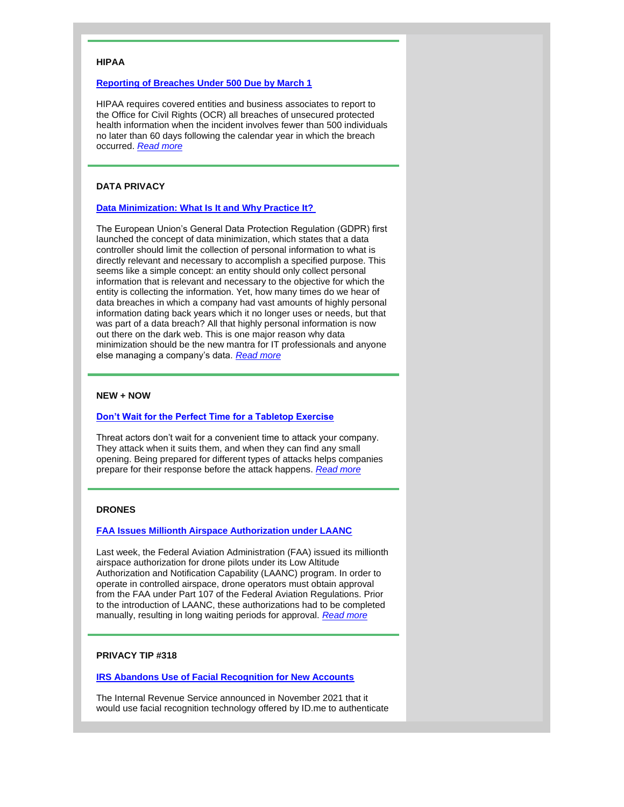#### **HIPAA**

#### **[Reporting of Breaches Under 500 Due by March 1](https://www.dataprivacyandsecurityinsider.com/2022/02/reporting-of-breaches-under-500-due-by-march-1/)**

HIPAA requires covered entities and business associates to report to the Office for Civil Rights (OCR) all breaches of unsecured protected health information when the incident involves fewer than 500 individuals no later than 60 days following the calendar year in which the breach occurred. *[Read more](https://www.dataprivacyandsecurityinsider.com/2022/02/reporting-of-breaches-under-500-due-by-march-1/)*

# **DATA PRIVACY**

#### **[Data Minimization: What Is It and Why Practice It?](https://www.dataprivacyandsecurityinsider.com/2022/02/data-minimization-what-is-it-and-why-practice-it/)**

The European Union's General Data Protection Regulation (GDPR) first launched the concept of data minimization, which states that a data controller should limit the collection of personal information to what is directly relevant and necessary to accomplish a specified purpose. This seems like a simple concept: an entity should only collect personal information that is relevant and necessary to the objective for which the entity is collecting the information. Yet, how many times do we hear of data breaches in which a company had vast amounts of highly personal information dating back years which it no longer uses or needs, but that was part of a data breach? All that highly personal information is now out there on the dark web. This is one major reason why data minimization should be the new mantra for IT professionals and anyone else managing a company's data. *[Read more](https://www.dataprivacyandsecurityinsider.com/2022/02/data-minimization-what-is-it-and-why-practice-it/)*

#### **NEW + NOW**

#### **[Don't Wait for the Perfect Time for a Tabletop Exercise](https://www.dataprivacyandsecurityinsider.com/2022/02/dont-wait-for-the-perfect-time-for-a-tabletop-exercise/)**

Threat actors don't wait for a convenient time to attack your company. They attack when it suits them, and when they can find any small opening. Being prepared for different types of attacks helps companies prepare for their response before the attack happens. *[Read more](https://www.dataprivacyandsecurityinsider.com/2022/02/dont-wait-for-the-perfect-time-for-a-tabletop-exercise/)*

# **DRONES**

#### **[FAA Issues Millionth Airspace Authorization under LAANC](https://www.dataprivacyandsecurityinsider.com/2022/02/faa-issues-millionth-airspace-authorization-under-laanc/)**

Last week, the Federal Aviation Administration (FAA) issued its millionth airspace authorization for drone pilots under its Low Altitude Authorization and Notification Capability (LAANC) program. In order to operate in controlled airspace, drone operators must obtain approval from the FAA under Part 107 of the Federal Aviation Regulations. Prior to the introduction of LAANC, these authorizations had to be completed manually, resulting in long waiting periods for approval. *[Read more](https://www.dataprivacyandsecurityinsider.com/2022/02/faa-issues-millionth-airspace-authorization-under-laanc/)*

#### **PRIVACY TIP #318**

**[IRS Abandons Use of Facial Recognition for New Accounts](https://www.dataprivacyandsecurityinsider.com/2022/02/privacy-tip-318-irs-abandons-use-of-facial-recognition-for-new-accounts/)**

The Internal Revenue Service announced in November 2021 that it would use facial recognition technology offered by ID.me to authenticate